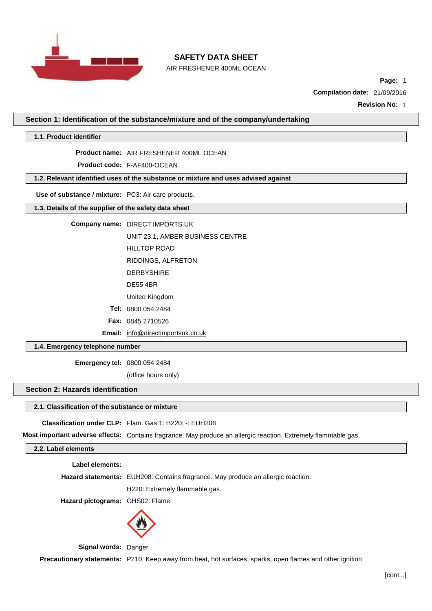

AIR FRESHENER 400ML OCEAN

**Page:** 1

**Compilation date:** 21/09/2016

**Revision No:** 1

**Section 1: Identification of the substance/mixture and of the company/undertaking**

**1.1. Product identifier**

**Product name:** AIR FRESHENER 400ML OCEAN

**Product code:** F-AF400-OCEAN

**1.2. Relevant identified uses of the substance or mixture and uses advised against**

**Use of substance / mixture:** PC3: Air care products.

**1.3. Details of the supplier of the safety data sheet**

**Company name:** DIRECT IMPORTS UK

UNIT 23.1, AMBER BUSINESS CENTRE

HILLTOP ROAD

RIDDINGS, ALFRETON

- DERBYSHIRE
- DE55 4BR

United Kingdom

**Tel:** 0800 054 2484

**Fax:** 0845 2710526

**Email:** [info@directimportsuk.co.uk](mailto:info@directimportsuk.co.uk)

**1.4. Emergency telephone number**

**Emergency tel:** 0800 054 2484

(office hours only)

### **Section 2: Hazards identification**

### **2.1. Classification of the substance or mixture**

**Classification under CLP:** Flam. Gas 1: H220; -: EUH208

**Most important adverse effects:** Contains fragrance. May produce an allergic reaction. Extremely flammable gas.

## **2.2. Label elements**

**Label elements:**

**Hazard statements:** EUH208: Contains fragrance. May produce an allergic reaction.

H220: Extremely flammable gas.

**Hazard pictograms:** GHS02: Flame



**Signal words:** Danger

**Precautionary statements:** P210: Keep away from heat, hot surfaces, sparks, open flames and other ignition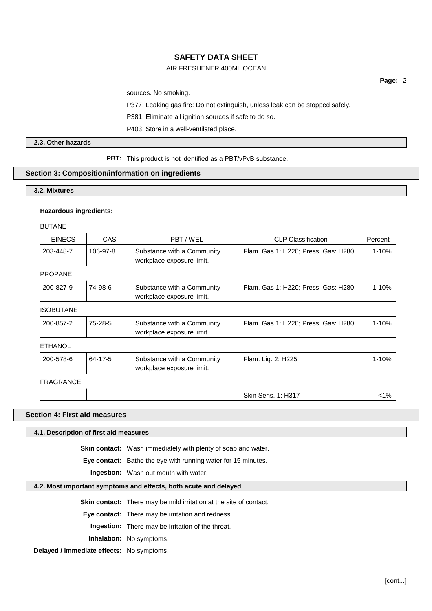## AIR FRESHENER 400ML OCEAN

**Page:** 2

sources. No smoking.

P377: Leaking gas fire: Do not extinguish, unless leak can be stopped safely.

P381: Eliminate all ignition sources if safe to do so.

P403: Store in a well-ventilated place.

## **2.3. Other hazards**

**PBT:** This product is not identified as a PBT/vPvB substance.

#### **Section 3: Composition/information on ingredients**

**3.2. Mixtures**

#### **Hazardous ingredients:**

BUTANE

| <b>EINECS</b> | CAS      | PBT / WEL                                               | <b>CLP Classification</b>           | Percent |
|---------------|----------|---------------------------------------------------------|-------------------------------------|---------|
| 203-448-7     | 106-97-8 | Substance with a Community<br>workplace exposure limit. | Flam. Gas 1: H220; Press. Gas: H280 | 1-10%   |

## PROPANE

| Flam. Gas 1: H220: Press. Gas: H280<br>1-10%<br>200-827-9<br>74-98-6<br>Substance with a Community |  | workplace exposure limit. |  |
|----------------------------------------------------------------------------------------------------|--|---------------------------|--|
|                                                                                                    |  |                           |  |

## ISOBUTANE

| 200-857-2 | 75-28-5 | Substance with a Community<br>workplace exposure limit. | Flam. Gas 1: H220; Press. Gas: H280 | 1-10% |
|-----------|---------|---------------------------------------------------------|-------------------------------------|-------|
|-----------|---------|---------------------------------------------------------|-------------------------------------|-------|

## ETHANOL

| 200-578-6 | 64-17-5 | Substance with a Community<br>workplace exposure limit. | Flam. Lig. 2: H225        | $1 - 10%$ |
|-----------|---------|---------------------------------------------------------|---------------------------|-----------|
| FRAGRANCE |         |                                                         |                           |           |
|           | -       |                                                         | <b>Skin Sens. 1: H317</b> | $< 1\%$   |

### **Section 4: First aid measures**

## **4.1. Description of first aid measures**

**Skin contact:** Wash immediately with plenty of soap and water.

**Eye contact:** Bathe the eye with running water for 15 minutes.

**Ingestion:** Wash out mouth with water.

#### **4.2. Most important symptoms and effects, both acute and delayed**

**Skin contact:** There may be mild irritation at the site of contact.

**Eye contact:** There may be irritation and redness.

**Ingestion:** There may be irritation of the throat.

**Inhalation:** No symptoms.

**Delayed / immediate effects:** No symptoms.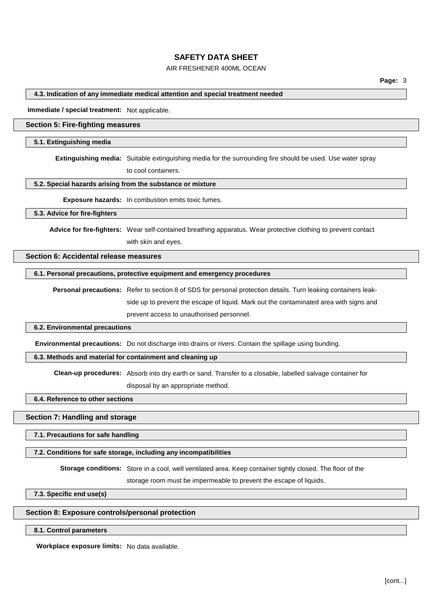## AIR FRESHENER 400ML OCEAN

#### **4.3. Indication of any immediate medical attention and special treatment needed**

**Immediate / special treatment:** Not applicable.

## **Section 5: Fire-fighting measures**

#### **5.1. Extinguishing media**

**Extinguishing media:** Suitable extinguishing media for the surrounding fire should be used. Use water spray

to cool containers.

#### **5.2. Special hazards arising from the substance or mixture**

**Exposure hazards:** In combustion emits toxic fumes.

#### **5.3. Advice for fire-fighters**

**Advice for fire-fighters:** Wear self-contained breathing apparatus. Wear protective clothing to prevent contact

with skin and eyes.

#### **Section 6: Accidental release measures**

## **6.1. Personal precautions, protective equipment and emergency procedures**

**Personal precautions:** Refer to section 8 of SDS for personal protection details. Turn leaking containers leakside up to prevent the escape of liquid. Mark out the contaminated area with signs and prevent access to unauthorised personnel.

#### **6.2. Environmental precautions**

**Environmental precautions:** Do not discharge into drains or rivers. Contain the spillage using bunding.

### **6.3. Methods and material for containment and cleaning up**

**Clean-up procedures:** Absorb into dry earth or sand. Transfer to a closable, labelled salvage container for

disposal by an appropriate method.

## **6.4. Reference to other sections**

### **Section 7: Handling and storage**

**7.1. Precautions for safe handling**

## **7.2. Conditions for safe storage, including any incompatibilities**

**Storage conditions:** Store in a cool, well ventilated area. Keep container tightly closed. The floor of the

storage room must be impermeable to prevent the escape of liquids.

**7.3. Specific end use(s)**

#### **Section 8: Exposure controls/personal protection**

#### **8.1. Control parameters**

**Workplace exposure limits:** No data available.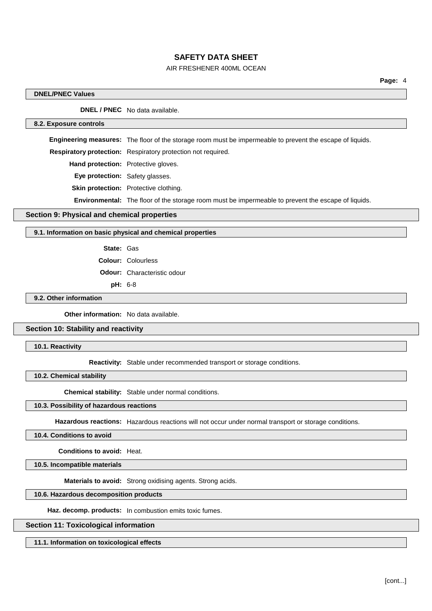## AIR FRESHENER 400ML OCEAN

### **DNEL/PNEC Values**

**DNEL / PNEC** No data available.

#### **8.2. Exposure controls**

**Engineering measures:** The floor of the storage room must be impermeable to prevent the escape of liquids.

**Respiratory protection:** Respiratory protection not required.

**Hand protection:** Protective gloves.

**Eye protection:** Safety glasses.

**Skin protection:** Protective clothing.

**Environmental:** The floor of the storage room must be impermeable to prevent the escape of liquids.

### **Section 9: Physical and chemical properties**

#### **9.1. Information on basic physical and chemical properties**

**State:** Gas

**Colour:** Colourless

**Odour:** Characteristic odour

**pH:** 6-8

## **9.2. Other information**

**Other information:** No data available.

## **Section 10: Stability and reactivity**

**10.1. Reactivity**

**Reactivity:** Stable under recommended transport or storage conditions.

**10.2. Chemical stability**

**Chemical stability:** Stable under normal conditions.

#### **10.3. Possibility of hazardous reactions**

**Hazardous reactions:** Hazardous reactions will not occur under normal transport or storage conditions.

### **10.4. Conditions to avoid**

**Conditions to avoid:** Heat.

**10.5. Incompatible materials**

**Materials to avoid:** Strong oxidising agents. Strong acids.

## **10.6. Hazardous decomposition products**

**Haz. decomp. products:** In combustion emits toxic fumes.

#### **Section 11: Toxicological information**

**11.1. Information on toxicological effects**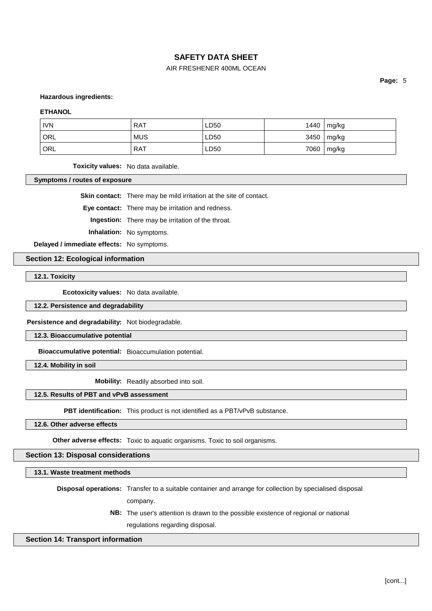## AIR FRESHENER 400ML OCEAN

**Page:** 5

**Hazardous ingredients:**

#### **ETHANOL**

| <b>IVN</b>       | <b>RAT</b> | LD50 | 1440 | mg/kg |
|------------------|------------|------|------|-------|
| <sup>I</sup> ORL | <b>MUS</b> | LD50 | 3450 | mg/kg |
| ' ORL            | RAT        | LD50 | 7060 | mg/kg |

**Toxicity values:** No data available.

**Symptoms / routes of exposure**

**Skin contact:** There may be mild irritation at the site of contact.

**Eye contact:** There may be irritation and redness.

**Ingestion:** There may be irritation of the throat.

**Inhalation:** No symptoms.

**Delayed / immediate effects:** No symptoms.

**Section 12: Ecological information**

**12.1. Toxicity**

**Ecotoxicity values:** No data available.

**12.2. Persistence and degradability**

**Persistence and degradability:** Not biodegradable.

**12.3. Bioaccumulative potential**

**Bioaccumulative potential:** Bioaccumulation potential.

**12.4. Mobility in soil**

**Mobility:** Readily absorbed into soil.

## **12.5. Results of PBT and vPvB assessment**

**PBT identification:** This product is not identified as a PBT/vPvB substance.

**12.6. Other adverse effects**

**Other adverse effects:** Toxic to aquatic organisms. Toxic to soil organisms.

**Section 13: Disposal considerations**

**13.1. Waste treatment methods**

**Disposal operations:** Transfer to a suitable container and arrange for collection by specialised disposal company.

> **NB:** The user's attention is drawn to the possible existence of regional or national regulations regarding disposal.

### **Section 14: Transport information**